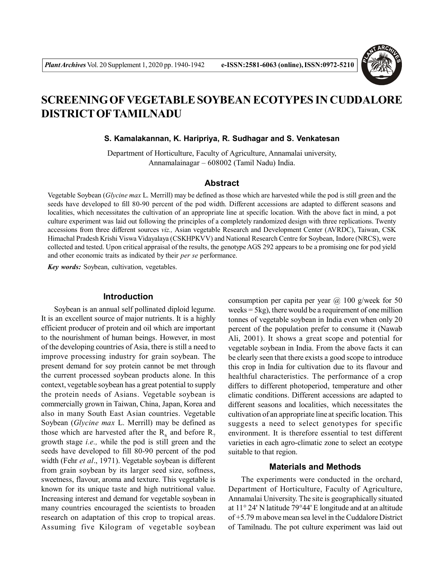

# **SCREENING OFVEGETABLE SOYBEAN ECOTYPES IN CUDDALORE DISTRICT OFTAMILNADU**

**S. Kamalakannan, K. Haripriya, R. Sudhagar and S. Venkatesan**

Department of Horticulture, Faculty of Agriculture, Annamalai university, Annamalainagar – 608002 (Tamil Nadu) India.

#### **Abstract**

Vegetable Soybean (*Glycine max* L. Merrill) may be defined as those which are harvested while the pod is still green and the seeds have developed to fill 80-90 percent of the pod width. Different accessions are adapted to different seasons and localities, which necessitates the cultivation of an appropriate line at specific location. With the above fact in mind, a pot culture experiment was laid out following the principles of a completely randomized design with three replications. Twenty accessions from three different sources *viz.,* Asian vegetable Research and Development Center (AVRDC), Taiwan, CSK Himachal Pradesh Krishi Viswa Vidayalaya (CSKHPKVV) and National Research Centre for Soybean, Indore (NRCS), were collected and tested. Upon critical appraisal of the results, the genotype AGS 292 appears to be a promising one for pod yield and other economic traits as indicated by their *per se* performance.

*Key words:* Soybean, cultivation, vegetables.

## **Introduction**

Soybean is an annual self pollinated diploid legume. It is an excellent source of major nutrients. It is a highly efficient producer of protein and oil which are important to the nourishment of human beings. However, in most of the developing countries of Asia, there is still a need to improve processing industry for grain soybean. The present demand for soy protein cannot be met through the current processed soybean products alone. In this context, vegetable soybean has a great potential to supply the protein needs of Asians. Vegetable soybean is commercially grown in Taiwan, China, Japan, Korea and also in many South East Asian countries. Vegetable Soybean (*Glycine max* L. Merrill) may be defined as those which are harvested after the  $R_6$  and before  $R_7$ growth stage *i.e.,* while the pod is still green and the seeds have developed to fill 80-90 percent of the pod width (Fehr *et al*., 1971). Vegetable soybean is different from grain soybean by its larger seed size, softness, sweetness, flavour, aroma and texture. This vegetable is known for its unique taste and high nutritional value. Increasing interest and demand for vegetable soybean in many countries encouraged the scientists to broaden research on adaptation of this crop to tropical areas. Assuming five Kilogram of vegetable soybean

consumption per capita per year  $\omega$  100 g/week for 50 weeks = 5kg), there would be a requirement of one million tonnes of vegetable soybean in India even when only 20 percent of the population prefer to consume it (Nawab Ali, 2001). It shows a great scope and potential for vegetable soybean in India. From the above facts it can be clearly seen that there exists a good scope to introduce this crop in India for cultivation due to its flavour and healthful characteristics. The performance of a crop differs to different photoperiod, temperature and other climatic conditions. Different accessions are adapted to different seasons and localities, which necessitates the cultivation of an appropriate line at specific location. This suggests a need to select genotypes for specific environment. It is therefore essential to test different varieties in each agro-climatic zone to select an ecotype suitable to that region.

# **Materials and Methods**

The experiments were conducted in the orchard, Department of Horticulture, Faculty of Agriculture, Annamalai University. The site is geographically situated at 11° 24' N latitude 79°44' E longitude and at an altitude of +5.79 m above mean sea level in the Cuddalore District of Tamilnadu. The pot culture experiment was laid out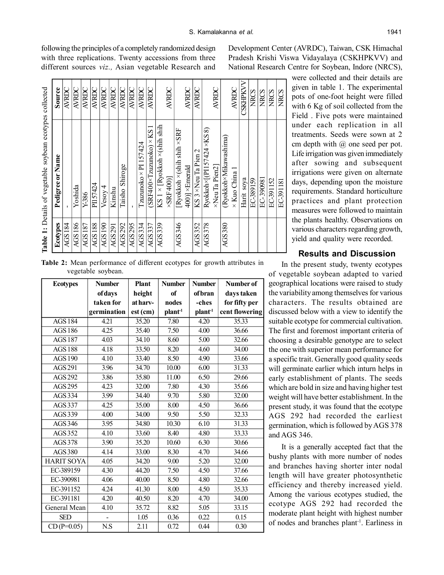following the principles of a completely randomized design with three replications. Twenty accessions from three different sources *viz.,* Asian vegetable Research and Development Center (AVRDC), Taiwan, CSK Himachal Pradesh Krishi Viswa Vidayalaya (CSKHPKVV) and National Research Centre for Soybean, Indore (NRCS),

> were collected and their details are given in table 1. The experimental pots of one-foot height were filled with 6 Kg of soil collected from the Field . Five pots were maintained under each replication in all treatments. Seeds were sown at 2 cm depth with  $\omega$  one seed per pot. Life irrigation was given immediately after sowing and subsequent irrigations were given on alternate days, depending upon the moisture requirements. Standard horticulture practices and plant protection measures were followed to maintain the plants healthy. Observations on various characters regarding growth, yield and quality were recorded.

## **Results and Discussion**

In the present study, twenty ecotypes of vegetable soybean adapted to varied geographical locations were raised to study the variability among themselves for various characters. The results obtained are discussed below with a view to identify the suitable ecotype for commercial cultivation. The first and foremost important criteria of choosing a desirable genotype are to select the one with superior mean performance for a specific trait. Generally good quality seeds will germinate earlier which inturn helps in early establishment of plants. The seeds which are bold in size and having higher test weight will have better establishment. In the present study, it was found that the ecotype AGS 292 had recorded the earliest germination, which is followed by AGS 378 and AGS 346.

It is a generally accepted fact that the bushy plants with more number of nodes and branches having shorter inter nodal length will have greater photosynthetic efficiency and thereby increased yield. Among the various ecotypes studied, the ecotype AGS 292 had recorded the moderate plant height with highest number of nodes and branches plant-1. Earliness in

**Table 2:** Mean performance of different ecotypes for growth attributes in vegetable soybean.

**Ecotypes Number Plant Number Number Number** of **of days height of of bran days taken taken for at harv- nodes -ches for fifty per germination**  $\left| \textbf{est (cm)} \right|$  **plant**<sup>1</sup> **plant**<sup>1</sup> **cent flowering** AGS 184 | 4.21 | 35.20 | 7.80 | 4.20 | 35.33 AGS 186 4.25 35.40 7.50 4.00 36.66 AGS 187 4.03 34.10 8.60 5.00 32.66 AGS 188 | 4.18 | 33.50 | 8.20 | 4.60 | 34.00 AGS 190 4.10 33.40 8.50 4.90 33.66 AGS 291 3.96 34.70 10.00 6.00 31.33 AGS 292 3.86 35.80 11.00 6.50 29.66 AGS 295 4.23 32.00 7.80 4.30 35.66 AGS 334 3.99 34.40 9.70 5.80 32.00 AGS 337 | 4.25 | 35.00 | 8.00 | 4.50 | 36.66 AGS 339 | 4.00 | 34.00 | 9.50 | 5.50 | 32.33 AGS 346 3.95 34.80 10.30 6.10 31.33 AGS 352 | 4.10 | 33.60 | 8.40 | 4.80 | 33.33 AGS 378 3.90 35.20 10.60 6.30 30.66 AGS 380 4.14 33.00 8.30 4.70 34.66 HARIT SOYA 4.05 34.20 9.00 5.20 32.00 EC-389159 4.30 44.20 7.50 4.50 37.66 EC-390981 4.06 40.00 8.50 4.80 32.66 EC-391152 | 4.24 | 41.30 | 8.00 |  $\overline{4.50}$  | 35.33 EC-391181  $\begin{array}{|c|c|c|c|c|c|c|c|c|} \hline 4.20 & 4.050 & 8.20 & 4.70 & 34.00 \ \hline \end{array}$ General Mean 4.10 35.72 8.82 5.05 33.15 SED | - | 1.05 | 0.36 | 0.22 | 0.15  $CD (P=0.05)$  N.S 2.11 0.72 0.44 0.30

| Pedigree or Name                               | Source          |
|------------------------------------------------|-----------------|
|                                                | AVRDC           |
| Yoshida                                        | AVRDC           |
| Y-386                                          | AVRDC           |
| PI157424                                       | AVRDC           |
| $V$ esoy $4$                                   | AVRDC           |
| Kinshu                                         | AVRDC           |
| Taisho Shiroge                                 | <b>AVRDC</b>    |
|                                                | AVRDC           |
| Tzuzunoko × PI 157424                          | AVRDC           |
| (SRF400×Tzuzunoko) × KS 1                      | AVRDC           |
| $KS \, 1 \times [Ryokkoh \times (shift shift)$ |                 |
| $\times$ SRF400)                               | AVRDC           |
| [Ryokkoh ×(shih shih ×SRF                      |                 |
| $400$ ] $\times$ Emerald                       | <b>AVRDC</b>    |
| KS 3 × Neu Ta Pien 2                           | AVRDC           |
| Ryokkoh×[(PI157424 ×KS 8)                      |                 |
| XNeu Ta Pien2]                                 | AVRDC           |
| (Ryokkoh×Mikawashima)                          |                 |
| $\times$ Kuo China 1                           | AVRDC           |
| Harit soya                                     | <b>CSKHPKVV</b> |
| EC-389159                                      | <b>NRCS</b>     |
| EC-390981                                      | <b>NRCS</b>     |
| EC-391152                                      | <b>NRCS</b>     |
| EC-391181                                      | <b>NRCS</b>     |
|                                                |                 |